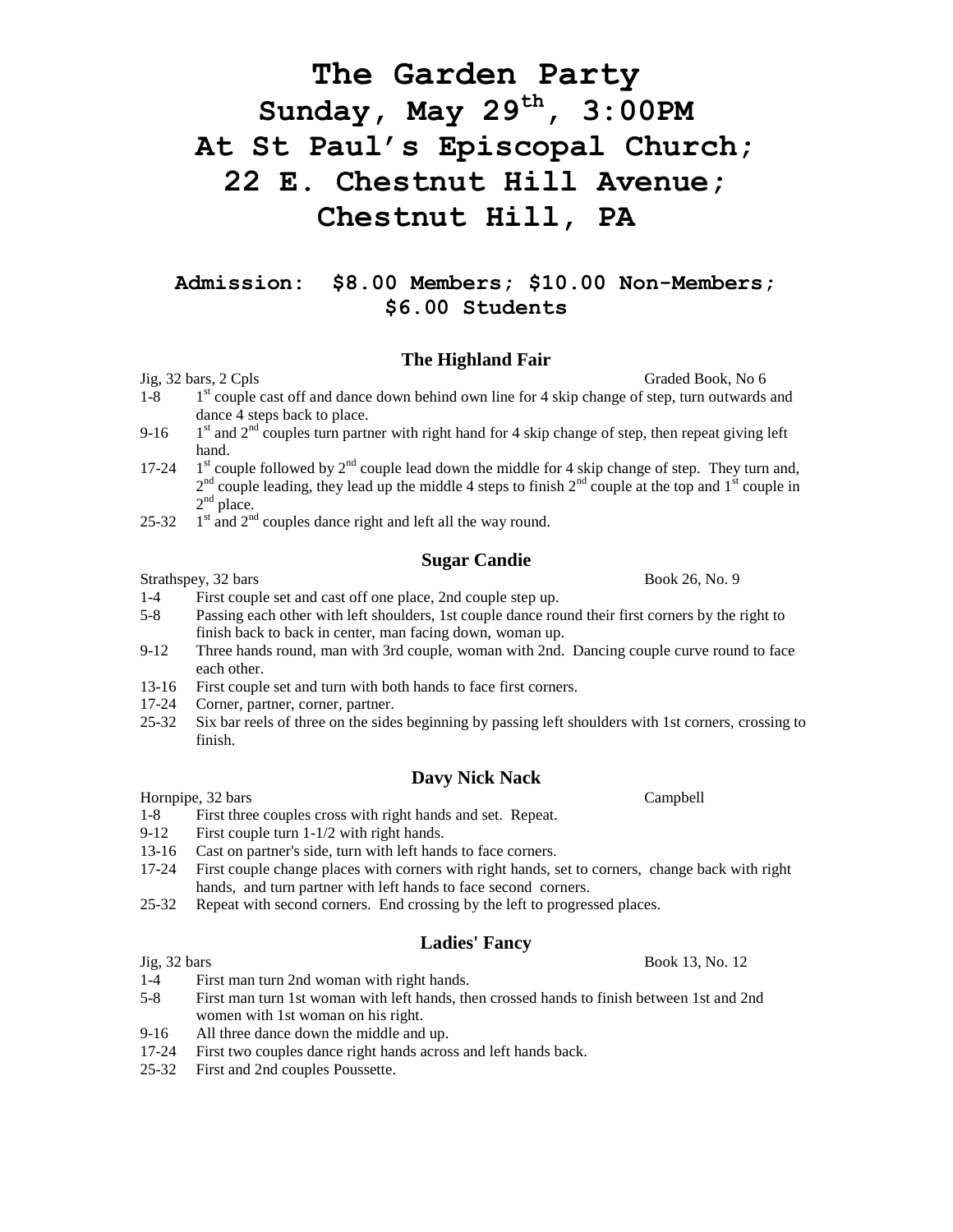# **The Garden Party Sunday, May 29th , 3:00PM At St Paul's Episcopal Church; 22 E. Chestnut Hill Avenue; Chestnut Hill, PA**

# **Admission: \$8.00 Members; \$10.00 Non-Members; \$6.00 Students**

#### **The Highland Fair**

#### Jig, 32 bars, 2 Cpls Graded Book, No 6

- $1 8$  $1<sup>st</sup>$  couple cast off and dance down behind own line for 4 skip change of step, turn outwards and dance 4 steps back to place.
- $9-16$  $1<sup>st</sup>$  and  $2<sup>nd</sup>$  couples turn partner with right hand for 4 skip change of step, then repeat giving left hand.
- 17-24  $1<sup>st</sup>$  couple followed by  $2<sup>nd</sup>$  couple lead down the middle for 4 skip change of step. They turn and,  $2<sup>nd</sup>$  couple leading, they lead up the middle 4 steps to finish  $2<sup>nd</sup>$  couple at the top and  $1<sup>st</sup>$  couple in  $2<sup>nd</sup>$  place.
- 25-32  $1<sup>st</sup>$  and  $2<sup>nd</sup>$  couples dance right and left all the way round.

## **Sugar Candie**

Strathspey, 32 bars Book 26, No. 9

- 1-4 First couple set and cast off one place, 2nd couple step up.
- 5-8 Passing each other with left shoulders, 1st couple dance round their first corners by the right to finish back to back in center, man facing down, woman up.
- 9-12 Three hands round, man with 3rd couple, woman with 2nd. Dancing couple curve round to face each other.
- 13-16 First couple set and turn with both hands to face first corners.
- 17-24 Corner, partner, corner, partner.
- 25-32 Six bar reels of three on the sides beginning by passing left shoulders with 1st corners, crossing to finish.

# **Davy Nick Nack**

Hornpipe, 32 bars Campbell

- 1-8 First three couples cross with right hands and set. Repeat.
- 9-12 First couple turn 1-1/2 with right hands.
- 13-16 Cast on partner's side, turn with left hands to face corners.
- 17-24 First couple change places with corners with right hands, set to corners, change back with right hands, and turn partner with left hands to face second corners.
- 25-32 Repeat with second corners. End crossing by the left to progressed places.

#### **Ladies' Fancy**

- 1-4 First man turn 2nd woman with right hands.
- 5-8 First man turn 1st woman with left hands, then crossed hands to finish between 1st and 2nd women with 1st woman on his right.
- 9-16 All three dance down the middle and up.
- 17-24 First two couples dance right hands across and left hands back.
- 25-32 First and 2nd couples Poussette.

Jig, 32 bars Book 13, No. 12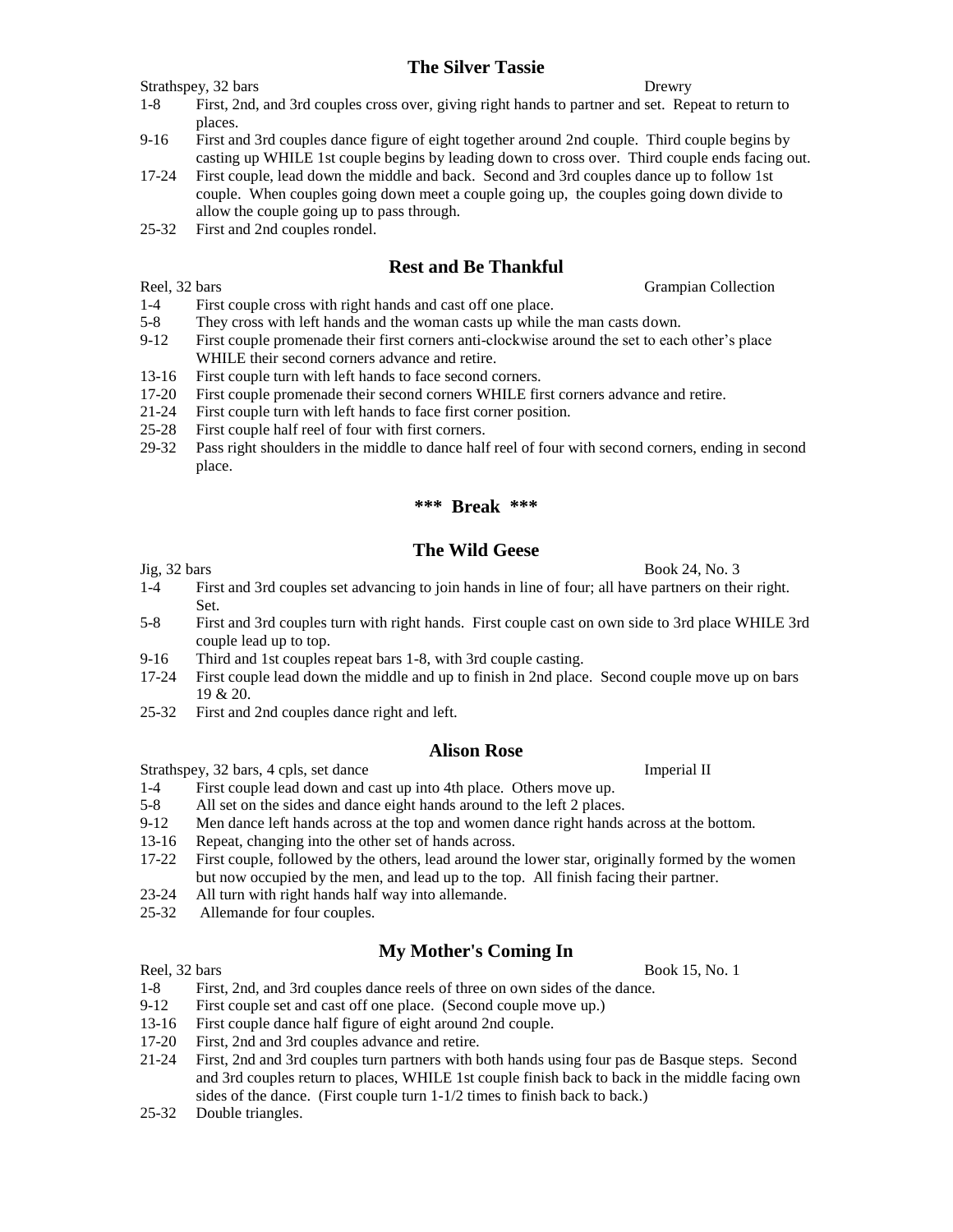## **The Silver Tassie**

Strathspey, 32 bars Drewry

- 1-8 First, 2nd, and 3rd couples cross over, giving right hands to partner and set. Repeat to return to places.
- 9-16 First and 3rd couples dance figure of eight together around 2nd couple. Third couple begins by casting up WHILE 1st couple begins by leading down to cross over. Third couple ends facing out.
- 17-24 First couple, lead down the middle and back. Second and 3rd couples dance up to follow 1st couple. When couples going down meet a couple going up, the couples going down divide to allow the couple going up to pass through.
- 25-32 First and 2nd couples rondel.

# **Rest and Be Thankful**

Reel, 32 bars Grampian Collection

- 1-4 First couple cross with right hands and cast off one place.
- 5-8 They cross with left hands and the woman casts up while the man casts down.
- 9-12 First couple promenade their first corners anti-clockwise around the set to each other's place WHILE their second corners advance and retire.
- 13-16 First couple turn with left hands to face second corners.
- 17-20 First couple promenade their second corners WHILE first corners advance and retire.
- 21-24 First couple turn with left hands to face first corner position.
- 25-28 First couple half reel of four with first corners.
- 29-32 Pass right shoulders in the middle to dance half reel of four with second corners, ending in second place.

#### **\*\*\* Break \*\*\***

## **The Wild Geese**

- 1-4 First and 3rd couples set advancing to join hands in line of four; all have partners on their right. Set.
- 5-8 First and 3rd couples turn with right hands. First couple cast on own side to 3rd place WHILE 3rd couple lead up to top.
- 9-16 Third and 1st couples repeat bars 1-8, with 3rd couple casting.
- 17-24 First couple lead down the middle and up to finish in 2nd place. Second couple move up on bars 19 & 20.
- 25-32 First and 2nd couples dance right and left.

#### **Alison Rose**

Strathspey, 32 bars, 4 cpls, set dance Imperial II

- 1-4 First couple lead down and cast up into 4th place. Others move up.
- 5-8 All set on the sides and dance eight hands around to the left 2 places.
- 9-12 Men dance left hands across at the top and women dance right hands across at the bottom.
- 13-16 Repeat, changing into the other set of hands across.
- 17-22 First couple, followed by the others, lead around the lower star, originally formed by the women but now occupied by the men, and lead up to the top. All finish facing their partner.
- 23-24 All turn with right hands half way into allemande.
- 25-32 Allemande for four couples.

# **My Mother's Coming In**

Reel, 32 bars Book 15, No. 1

- 1-8 First, 2nd, and 3rd couples dance reels of three on own sides of the dance.
- 9-12 First couple set and cast off one place. (Second couple move up.)
- 13-16 First couple dance half figure of eight around 2nd couple.
- 17-20 First, 2nd and 3rd couples advance and retire.
- 21-24 First, 2nd and 3rd couples turn partners with both hands using four pas de Basque steps. Second and 3rd couples return to places, WHILE 1st couple finish back to back in the middle facing own sides of the dance. (First couple turn 1-1/2 times to finish back to back.)
- 25-32 Double triangles.

 $\text{Jig}, 32 \text{ bars}$  Book 24, No. 3